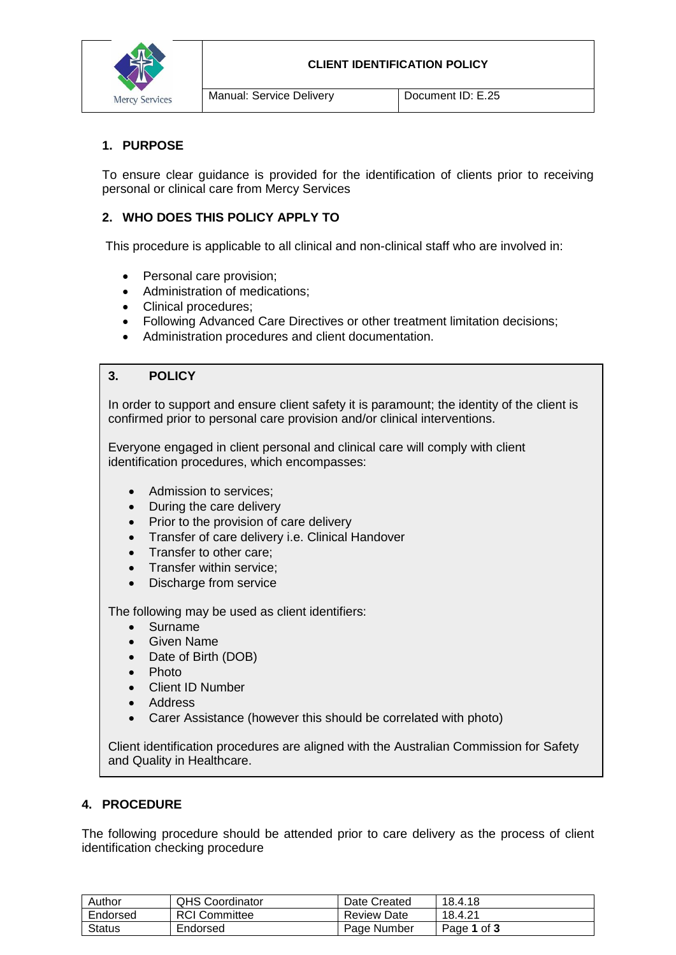

Manual: Service Delivery **Document ID: E.25** 

# **1. PURPOSE**

To ensure clear guidance is provided for the identification of clients prior to receiving personal or clinical care from Mercy Services

# **2. WHO DOES THIS POLICY APPLY TO**

This procedure is applicable to all clinical and non-clinical staff who are involved in:

- Personal care provision;
- Administration of medications;
- Clinical procedures:
- Following Advanced Care Directives or other treatment limitation decisions;
- Administration procedures and client documentation.

# **3. POLICY**

In order to support and ensure client safety it is paramount; the identity of the client is confirmed prior to personal care provision and/or clinical interventions.

Everyone engaged in client personal and clinical care will comply with client identification procedures, which encompasses:

- Admission to services:
- During the care delivery
- Prior to the provision of care delivery
- Transfer of care delivery i.e. Clinical Handover
- Transfer to other care;
- Transfer within service:
- Discharge from service

The following may be used as client identifiers:

- Surname
- Given Name
- Date of Birth (DOB)
- Photo
- Client ID Number
- Address
- Carer Assistance (however this should be correlated with photo)

Client identification procedures are aligned with the Australian Commission for Safety and Quality in Healthcare.

# **4. PROCEDURE**

The following procedure should be attended prior to care delivery as the process of client identification checking procedure

| Author        | <b>QHS Coordinator</b> | Date Created       | 18.4.18     |
|---------------|------------------------|--------------------|-------------|
| Endorsed      | <b>RCI</b> Committee   | <b>Review Date</b> | 18.4.21     |
| <b>Status</b> | Endorsed               | Page Number        | Page 1 of 3 |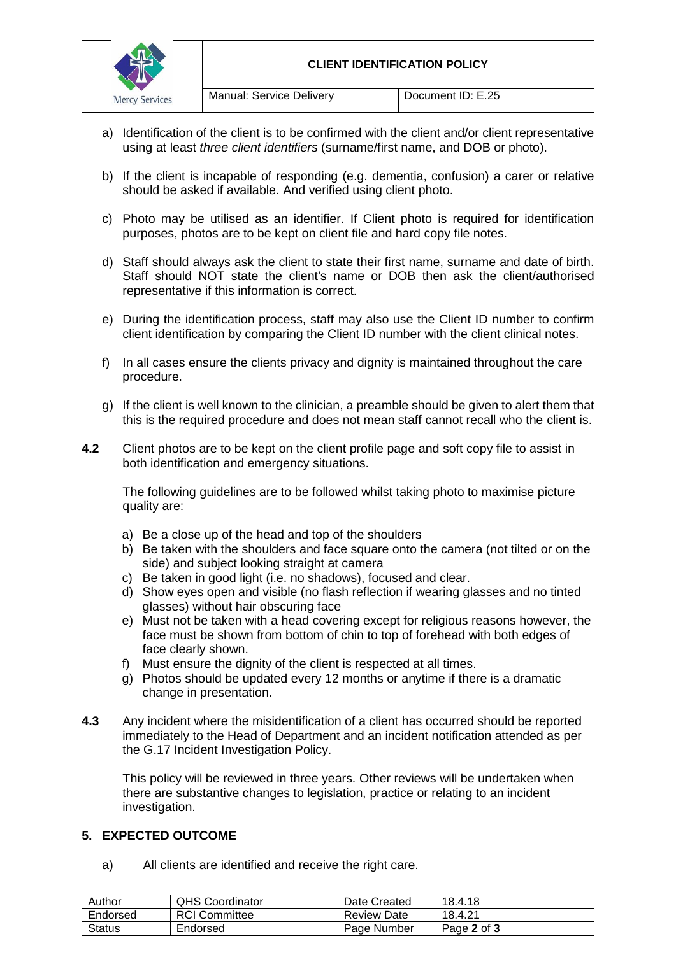

- a) Identification of the client is to be confirmed with the client and/or client representative using at least *three client identifiers* (surname/first name, and DOB or photo).
- b) If the client is incapable of responding (e.g. dementia, confusion) a carer or relative should be asked if available. And verified using client photo.
- c) Photo may be utilised as an identifier. If Client photo is required for identification purposes, photos are to be kept on client file and hard copy file notes.
- d) Staff should always ask the client to state their first name, surname and date of birth. Staff should NOT state the client's name or DOB then ask the client/authorised representative if this information is correct.
- e) During the identification process, staff may also use the Client ID number to confirm client identification by comparing the Client ID number with the client clinical notes.
- f) In all cases ensure the clients privacy and dignity is maintained throughout the care procedure.
- g) If the client is well known to the clinician, a preamble should be given to alert them that this is the required procedure and does not mean staff cannot recall who the client is.
- **4.2** Client photos are to be kept on the client profile page and soft copy file to assist in both identification and emergency situations.

The following guidelines are to be followed whilst taking photo to maximise picture quality are:

- a) Be a close up of the head and top of the shoulders
- b) Be taken with the shoulders and face square onto the camera (not tilted or on the side) and subject looking straight at camera
- c) Be taken in good light (i.e. no shadows), focused and clear.
- d) Show eyes open and visible (no flash reflection if wearing glasses and no tinted glasses) without hair obscuring face
- e) Must not be taken with a head covering except for religious reasons however, the face must be shown from bottom of chin to top of forehead with both edges of face clearly shown.
- f) Must ensure the dignity of the client is respected at all times.
- g) Photos should be updated every 12 months or anytime if there is a dramatic change in presentation.
- **4.3** Any incident where the misidentification of a client has occurred should be reported immediately to the Head of Department and an incident notification attended as per the G.17 Incident Investigation Policy.

This policy will be reviewed in three years. Other reviews will be undertaken when there are substantive changes to legislation, practice or relating to an incident investigation.

#### **5. EXPECTED OUTCOME**

a) All clients are identified and receive the right care.

| Author        | <b>QHS Coordinator</b> | Date Created       | 18.4.18     |
|---------------|------------------------|--------------------|-------------|
| Endorsed      | <b>RCI Committee</b>   | <b>Review Date</b> | 18.4.21     |
| <b>Status</b> | Endorsed               | Page Number        | Page 2 of 3 |